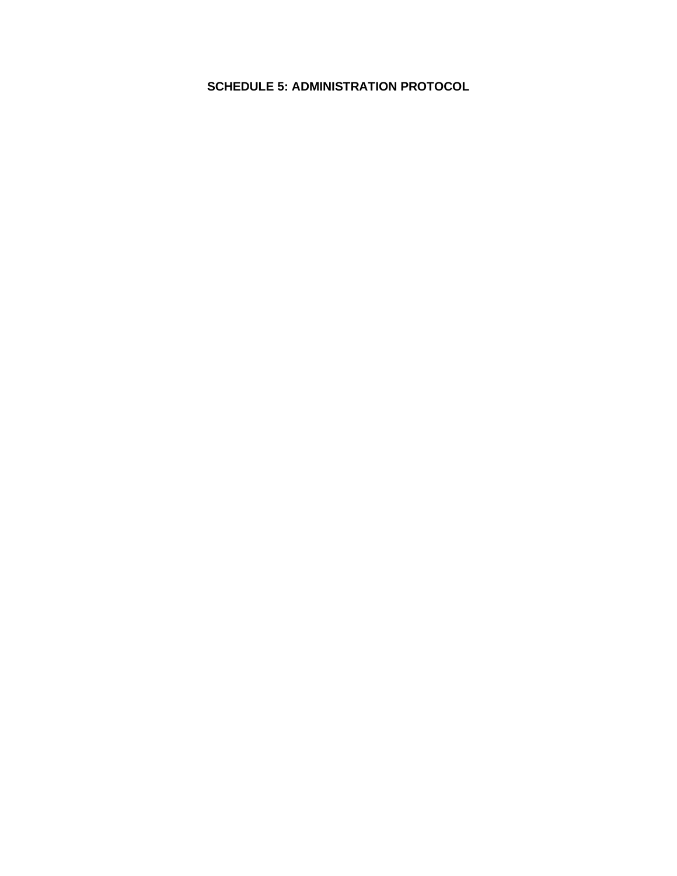#### **SCHEDULE 5: ADMINISTRATION PROTOCOL**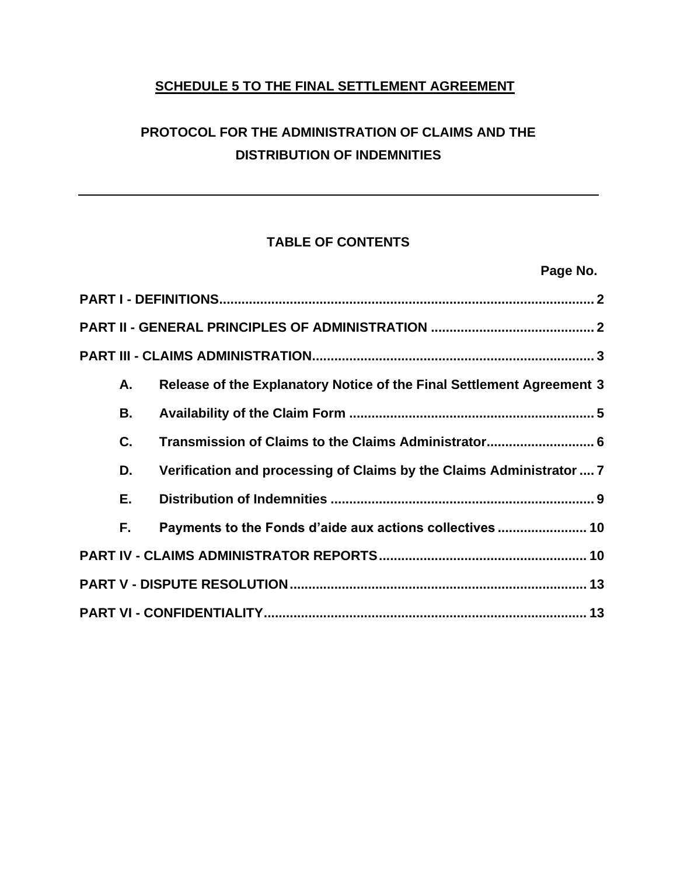# **SCHEDULE 5 TO THE FINAL SETTLEMENT AGREEMENT**

# **PROTOCOL FOR THE ADMINISTRATION OF CLAIMS AND THE DISTRIBUTION OF INDEMNITIES**

# **TABLE OF CONTENTS**

**Page No.**

| А.  | Release of the Explanatory Notice of the Final Settlement Agreement 3 |
|-----|-----------------------------------------------------------------------|
| В.  |                                                                       |
| C.  | Transmission of Claims to the Claims Administrator 6                  |
| D.  | Verification and processing of Claims by the Claims Administrator  7  |
| Е.  |                                                                       |
| F., | Payments to the Fonds d'aide aux actions collectives  10              |
|     |                                                                       |
|     |                                                                       |
|     |                                                                       |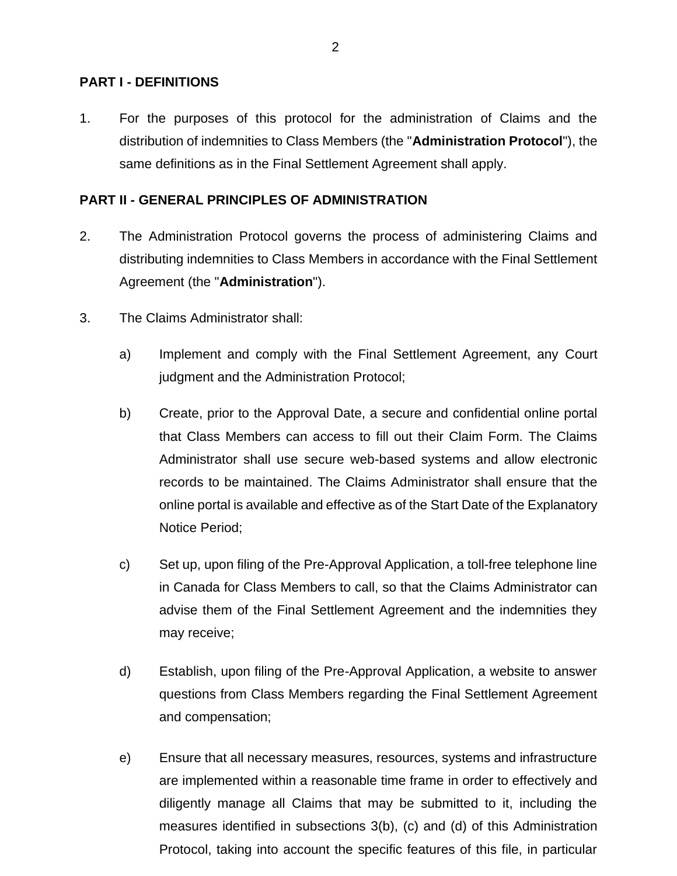#### <span id="page-2-0"></span>**PART I - DEFINITIONS**

1. For the purposes of this protocol for the administration of Claims and the distribution of indemnities to Class Members (the "**Administration Protocol**"), the same definitions as in the Final Settlement Agreement shall apply.

#### <span id="page-2-1"></span>**PART II - GENERAL PRINCIPLES OF ADMINISTRATION**

- 2. The Administration Protocol governs the process of administering Claims and distributing indemnities to Class Members in accordance with the Final Settlement Agreement (the "**Administration**").
- 3. The Claims Administrator shall:
	- a) Implement and comply with the Final Settlement Agreement, any Court judgment and the Administration Protocol;
	- b) Create, prior to the Approval Date, a secure and confidential online portal that Class Members can access to fill out their Claim Form. The Claims Administrator shall use secure web-based systems and allow electronic records to be maintained. The Claims Administrator shall ensure that the online portal is available and effective as of the Start Date of the Explanatory Notice Period;
	- c) Set up, upon filing of the Pre-Approval Application, a toll-free telephone line in Canada for Class Members to call, so that the Claims Administrator can advise them of the Final Settlement Agreement and the indemnities they may receive;
	- d) Establish, upon filing of the Pre-Approval Application, a website to answer questions from Class Members regarding the Final Settlement Agreement and compensation;
	- e) Ensure that all necessary measures, resources, systems and infrastructure are implemented within a reasonable time frame in order to effectively and diligently manage all Claims that may be submitted to it, including the measures identified in subsections 3(b), (c) and (d) of this Administration Protocol, taking into account the specific features of this file, in particular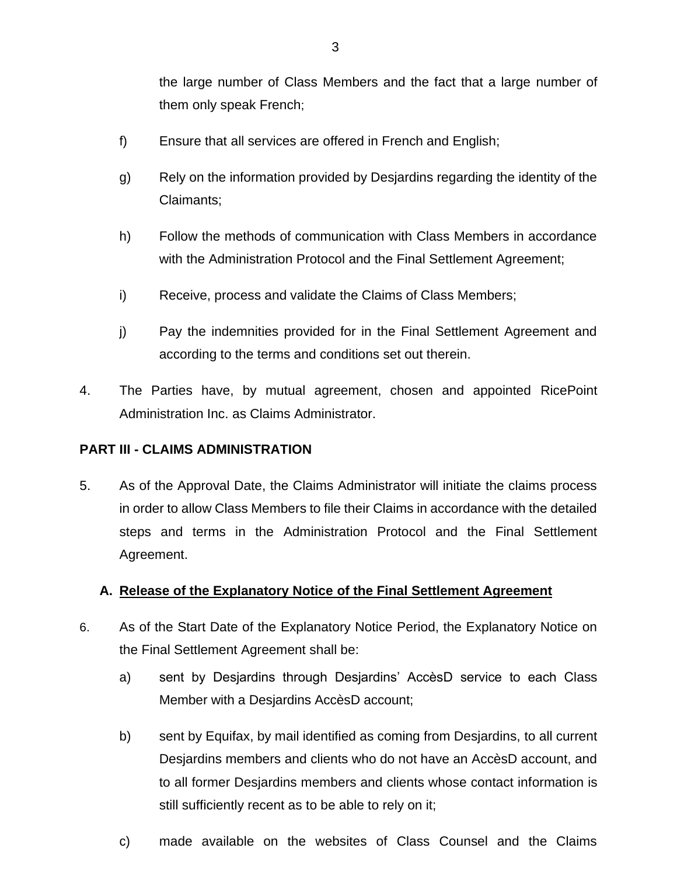the large number of Class Members and the fact that a large number of them only speak French;

- f) Ensure that all services are offered in French and English;
- g) Rely on the information provided by Desjardins regarding the identity of the Claimants;
- h) Follow the methods of communication with Class Members in accordance with the Administration Protocol and the Final Settlement Agreement;
- i) Receive, process and validate the Claims of Class Members;
- j) Pay the indemnities provided for in the Final Settlement Agreement and according to the terms and conditions set out therein.
- 4. The Parties have, by mutual agreement, chosen and appointed RicePoint Administration Inc. as Claims Administrator.

#### <span id="page-3-0"></span>**PART III - CLAIMS ADMINISTRATION**

5. As of the Approval Date, the Claims Administrator will initiate the claims process in order to allow Class Members to file their Claims in accordance with the detailed steps and terms in the Administration Protocol and the Final Settlement Agreement.

#### <span id="page-3-1"></span>**A. Release of the Explanatory Notice of the Final Settlement Agreement**

- 6. As of the Start Date of the Explanatory Notice Period, the Explanatory Notice on the Final Settlement Agreement shall be:
	- a) sent by Desjardins through Desjardins' AccèsD service to each Class Member with a Desjardins AccèsD account;
	- b) sent by Equifax, by mail identified as coming from Desjardins, to all current Desjardins members and clients who do not have an AccèsD account, and to all former Desjardins members and clients whose contact information is still sufficiently recent as to be able to rely on it;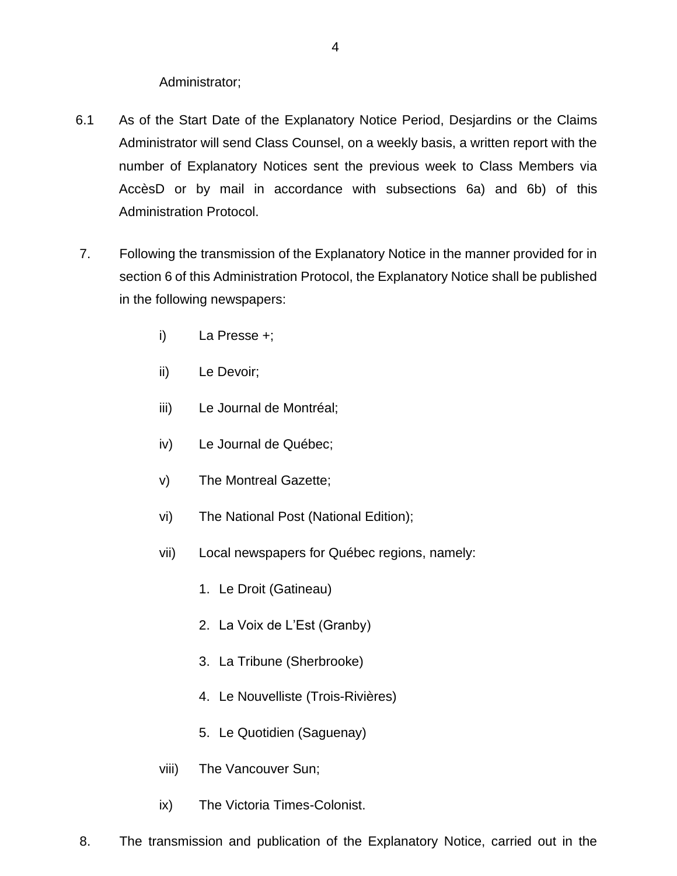#### Administrator;

- 6.1 As of the Start Date of the Explanatory Notice Period, Desjardins or the Claims Administrator will send Class Counsel, on a weekly basis, a written report with the number of Explanatory Notices sent the previous week to Class Members via AccèsD or by mail in accordance with subsections 6a) and 6b) of this Administration Protocol.
- 7. Following the transmission of the Explanatory Notice in the manner provided for in section 6 of this Administration Protocol, the Explanatory Notice shall be published in the following newspapers:
	- i) La Presse +;
	- ii) Le Devoir;
	- iii) Le Journal de Montréal;
	- iv) Le Journal de Québec;
	- v) The Montreal Gazette;
	- vi) The National Post (National Edition);
	- vii) Local newspapers for Québec regions, namely:
		- 1. Le Droit (Gatineau)
		- 2. La Voix de L'Est (Granby)
		- 3. La Tribune (Sherbrooke)
		- 4. Le Nouvelliste (Trois-Rivières)
		- 5. Le Quotidien (Saguenay)
	- viii) The Vancouver Sun;
	- ix) The Victoria Times-Colonist.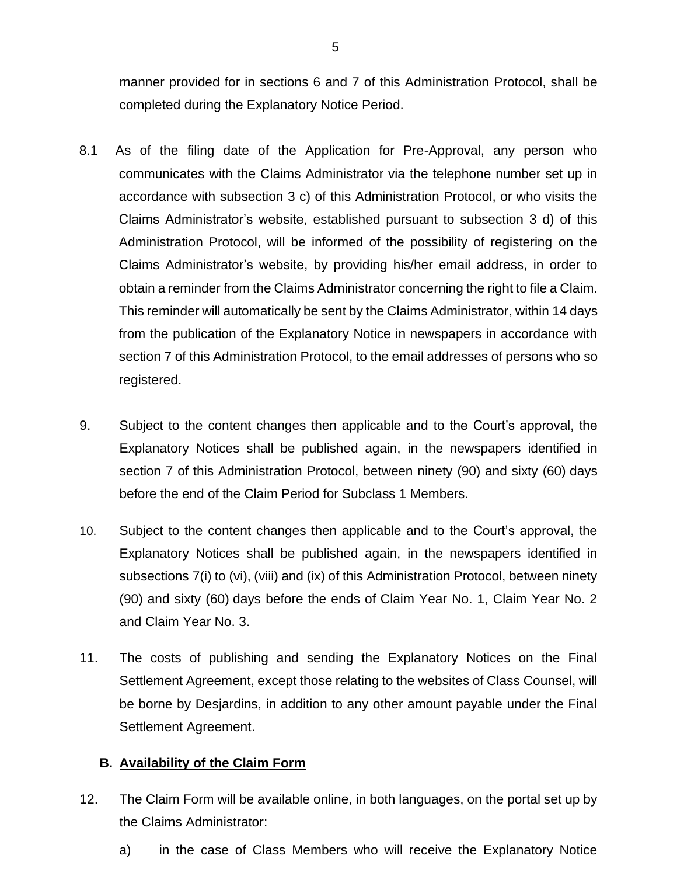manner provided for in sections 6 and 7 of this Administration Protocol, shall be completed during the Explanatory Notice Period.

- 8.1 As of the filing date of the Application for Pre-Approval, any person who communicates with the Claims Administrator via the telephone number set up in accordance with subsection 3 c) of this Administration Protocol, or who visits the Claims Administrator's website, established pursuant to subsection 3 d) of this Administration Protocol, will be informed of the possibility of registering on the Claims Administrator's website, by providing his/her email address, in order to obtain a reminder from the Claims Administrator concerning the right to file a Claim. This reminder will automatically be sent by the Claims Administrator, within 14 days from the publication of the Explanatory Notice in newspapers in accordance with section 7 of this Administration Protocol, to the email addresses of persons who so registered.
- 9. Subject to the content changes then applicable and to the Court's approval, the Explanatory Notices shall be published again, in the newspapers identified in section 7 of this Administration Protocol, between ninety (90) and sixty (60) days before the end of the Claim Period for Subclass 1 Members.
- 10. Subject to the content changes then applicable and to the Court's approval, the Explanatory Notices shall be published again, in the newspapers identified in subsections 7(i) to (vi), (viii) and (ix) of this Administration Protocol, between ninety (90) and sixty (60) days before the ends of Claim Year No. 1, Claim Year No. 2 and Claim Year No. 3.
- 11. The costs of publishing and sending the Explanatory Notices on the Final Settlement Agreement, except those relating to the websites of Class Counsel, will be borne by Desjardins, in addition to any other amount payable under the Final Settlement Agreement.

## <span id="page-5-0"></span>**B. Availability of the Claim Form**

- 12. The Claim Form will be available online, in both languages, on the portal set up by the Claims Administrator:
	- a) in the case of Class Members who will receive the Explanatory Notice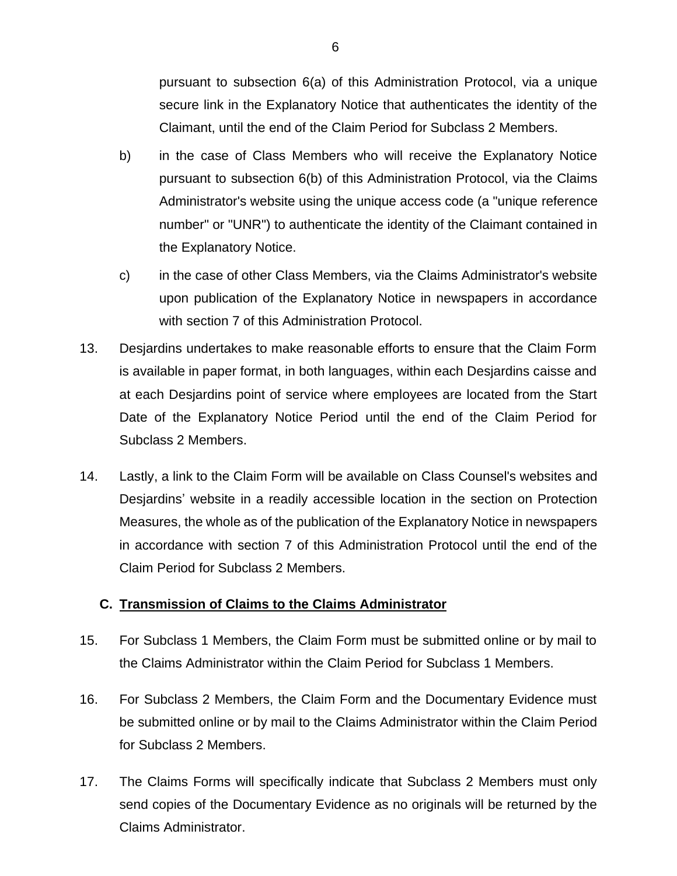pursuant to subsection 6(a) of this Administration Protocol, via a unique secure link in the Explanatory Notice that authenticates the identity of the Claimant, until the end of the Claim Period for Subclass 2 Members.

- b) in the case of Class Members who will receive the Explanatory Notice pursuant to subsection 6(b) of this Administration Protocol, via the Claims Administrator's website using the unique access code (a "unique reference number" or "UNR") to authenticate the identity of the Claimant contained in the Explanatory Notice.
- c) in the case of other Class Members, via the Claims Administrator's website upon publication of the Explanatory Notice in newspapers in accordance with section 7 of this Administration Protocol.
- 13. Desjardins undertakes to make reasonable efforts to ensure that the Claim Form is available in paper format, in both languages, within each Desjardins caisse and at each Desjardins point of service where employees are located from the Start Date of the Explanatory Notice Period until the end of the Claim Period for Subclass 2 Members.
- 14. Lastly, a link to the Claim Form will be available on Class Counsel's websites and Desjardins' website in a readily accessible location in the section on Protection Measures, the whole as of the publication of the Explanatory Notice in newspapers in accordance with section 7 of this Administration Protocol until the end of the Claim Period for Subclass 2 Members.

## <span id="page-6-0"></span>**C. Transmission of Claims to the Claims Administrator**

- 15. For Subclass 1 Members, the Claim Form must be submitted online or by mail to the Claims Administrator within the Claim Period for Subclass 1 Members.
- 16. For Subclass 2 Members, the Claim Form and the Documentary Evidence must be submitted online or by mail to the Claims Administrator within the Claim Period for Subclass 2 Members.
- 17. The Claims Forms will specifically indicate that Subclass 2 Members must only send copies of the Documentary Evidence as no originals will be returned by the Claims Administrator.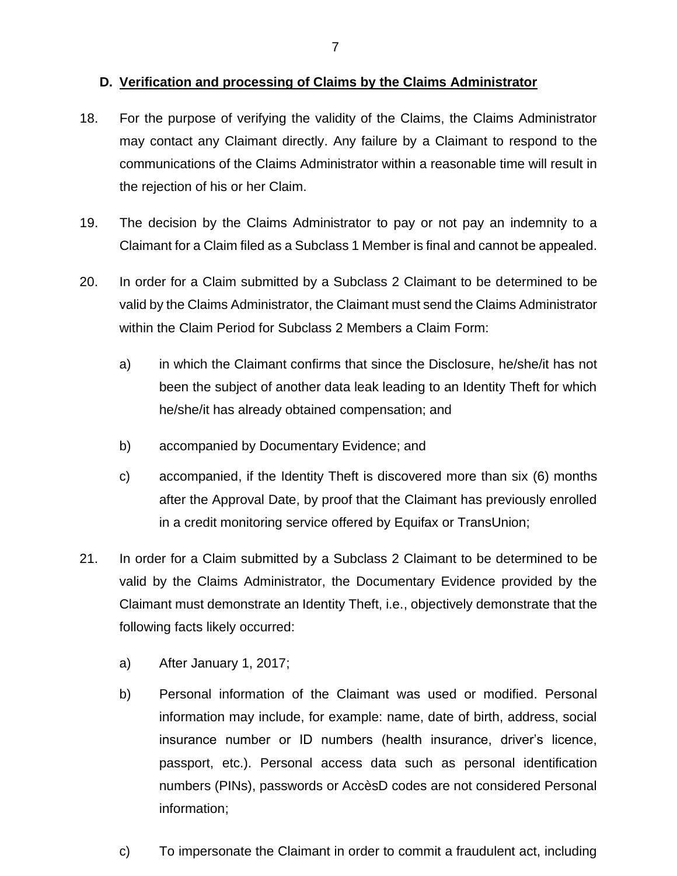#### <span id="page-7-0"></span>**D. Verification and processing of Claims by the Claims Administrator**

- 18. For the purpose of verifying the validity of the Claims, the Claims Administrator may contact any Claimant directly. Any failure by a Claimant to respond to the communications of the Claims Administrator within a reasonable time will result in the rejection of his or her Claim.
- 19. The decision by the Claims Administrator to pay or not pay an indemnity to a Claimant for a Claim filed as a Subclass 1 Member is final and cannot be appealed.
- 20. In order for a Claim submitted by a Subclass 2 Claimant to be determined to be valid by the Claims Administrator, the Claimant must send the Claims Administrator within the Claim Period for Subclass 2 Members a Claim Form:
	- a) in which the Claimant confirms that since the Disclosure, he/she/it has not been the subject of another data leak leading to an Identity Theft for which he/she/it has already obtained compensation; and
	- b) accompanied by Documentary Evidence; and
	- c) accompanied, if the Identity Theft is discovered more than six (6) months after the Approval Date, by proof that the Claimant has previously enrolled in a credit monitoring service offered by Equifax or TransUnion;
- 21. In order for a Claim submitted by a Subclass 2 Claimant to be determined to be valid by the Claims Administrator, the Documentary Evidence provided by the Claimant must demonstrate an Identity Theft, i.e., objectively demonstrate that the following facts likely occurred:
	- a) After January 1, 2017;
	- b) Personal information of the Claimant was used or modified. Personal information may include, for example: name, date of birth, address, social insurance number or ID numbers (health insurance, driver's licence, passport, etc.). Personal access data such as personal identification numbers (PINs), passwords or AccèsD codes are not considered Personal information;
	- c) To impersonate the Claimant in order to commit a fraudulent act, including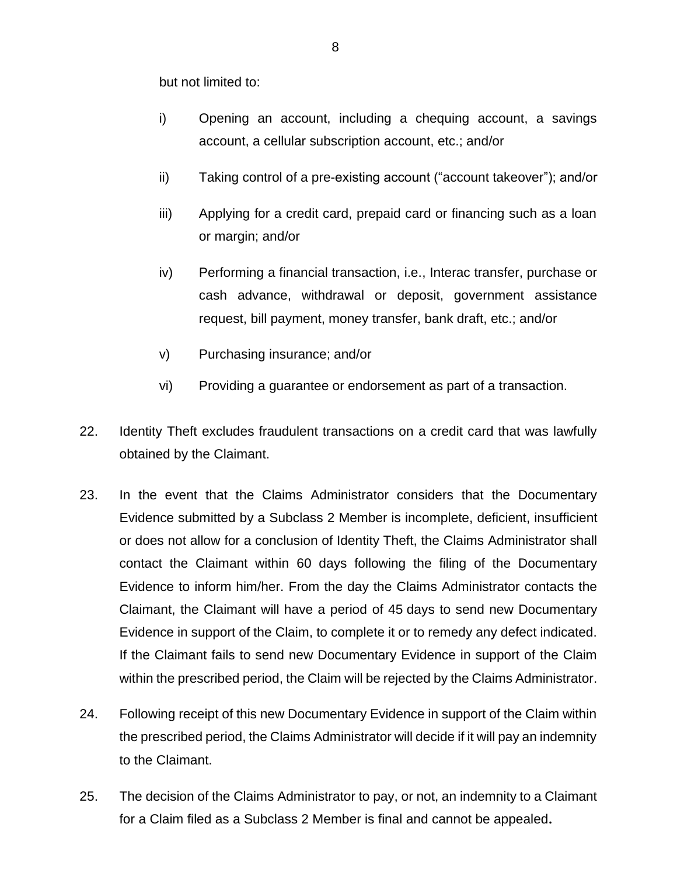but not limited to:

- i) Opening an account, including a chequing account, a savings account, a cellular subscription account, etc.; and/or
- ii) Taking control of a pre-existing account ("account takeover"); and/or
- iii) Applying for a credit card, prepaid card or financing such as a loan or margin; and/or
- iv) Performing a financial transaction, i.e., Interac transfer, purchase or cash advance, withdrawal or deposit, government assistance request, bill payment, money transfer, bank draft, etc.; and/or
- v) Purchasing insurance; and/or
- vi) Providing a guarantee or endorsement as part of a transaction.
- 22. Identity Theft excludes fraudulent transactions on a credit card that was lawfully obtained by the Claimant.
- 23. In the event that the Claims Administrator considers that the Documentary Evidence submitted by a Subclass 2 Member is incomplete, deficient, insufficient or does not allow for a conclusion of Identity Theft, the Claims Administrator shall contact the Claimant within 60 days following the filing of the Documentary Evidence to inform him/her. From the day the Claims Administrator contacts the Claimant, the Claimant will have a period of 45 days to send new Documentary Evidence in support of the Claim, to complete it or to remedy any defect indicated. If the Claimant fails to send new Documentary Evidence in support of the Claim within the prescribed period, the Claim will be rejected by the Claims Administrator.
- 24. Following receipt of this new Documentary Evidence in support of the Claim within the prescribed period, the Claims Administrator will decide if it will pay an indemnity to the Claimant.
- 25. The decision of the Claims Administrator to pay, or not, an indemnity to a Claimant for a Claim filed as a Subclass 2 Member is final and cannot be appealed**.**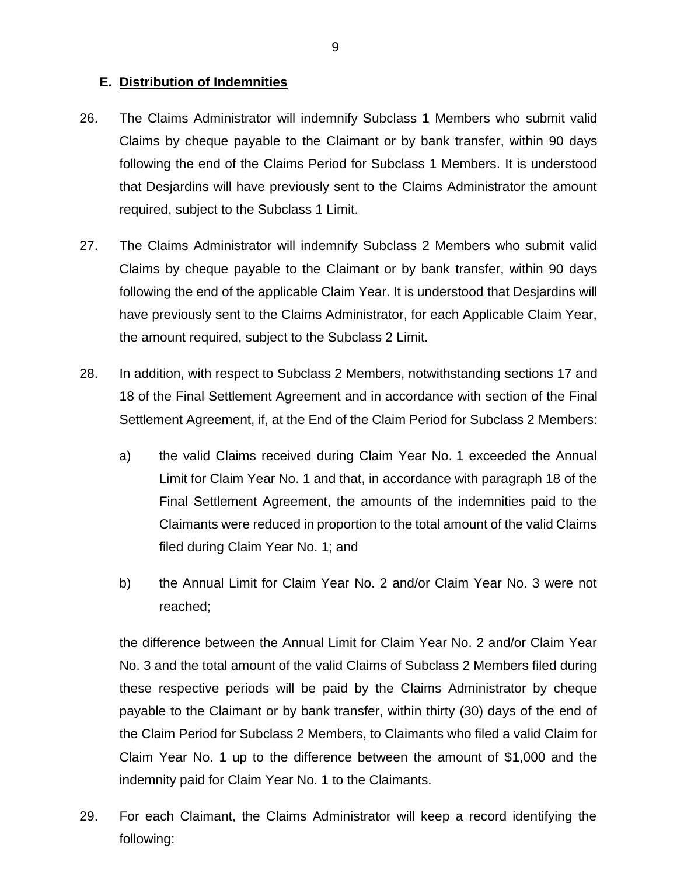#### <span id="page-9-0"></span>**E. Distribution of Indemnities**

- 26. The Claims Administrator will indemnify Subclass 1 Members who submit valid Claims by cheque payable to the Claimant or by bank transfer, within 90 days following the end of the Claims Period for Subclass 1 Members. It is understood that Desjardins will have previously sent to the Claims Administrator the amount required, subject to the Subclass 1 Limit.
- 27. The Claims Administrator will indemnify Subclass 2 Members who submit valid Claims by cheque payable to the Claimant or by bank transfer, within 90 days following the end of the applicable Claim Year. It is understood that Desjardins will have previously sent to the Claims Administrator, for each Applicable Claim Year, the amount required, subject to the Subclass 2 Limit.
- 28. In addition, with respect to Subclass 2 Members, notwithstanding sections 17 and 18 of the Final Settlement Agreement and in accordance with section of the Final Settlement Agreement, if, at the End of the Claim Period for Subclass 2 Members:
	- a) the valid Claims received during Claim Year No. 1 exceeded the Annual Limit for Claim Year No. 1 and that, in accordance with paragraph 18 of the Final Settlement Agreement, the amounts of the indemnities paid to the Claimants were reduced in proportion to the total amount of the valid Claims filed during Claim Year No. 1; and
	- b) the Annual Limit for Claim Year No. 2 and/or Claim Year No. 3 were not reached;

the difference between the Annual Limit for Claim Year No. 2 and/or Claim Year No. 3 and the total amount of the valid Claims of Subclass 2 Members filed during these respective periods will be paid by the Claims Administrator by cheque payable to the Claimant or by bank transfer, within thirty (30) days of the end of the Claim Period for Subclass 2 Members, to Claimants who filed a valid Claim for Claim Year No. 1 up to the difference between the amount of \$1,000 and the indemnity paid for Claim Year No. 1 to the Claimants.

29. For each Claimant, the Claims Administrator will keep a record identifying the following: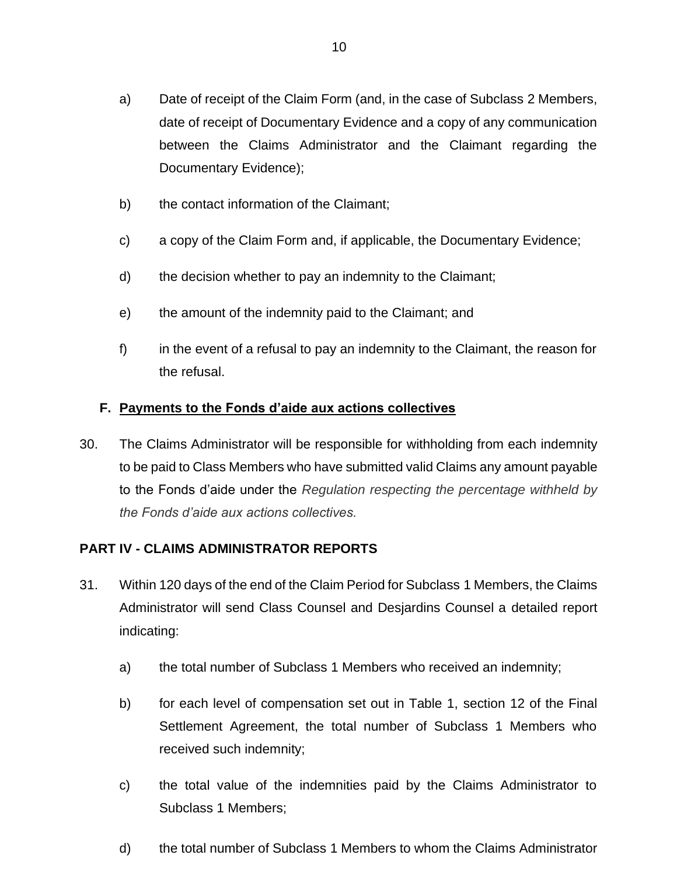- a) Date of receipt of the Claim Form (and, in the case of Subclass 2 Members, date of receipt of Documentary Evidence and a copy of any communication between the Claims Administrator and the Claimant regarding the Documentary Evidence);
- b) the contact information of the Claimant;
- c) a copy of the Claim Form and, if applicable, the Documentary Evidence;
- d) the decision whether to pay an indemnity to the Claimant;
- e) the amount of the indemnity paid to the Claimant; and
- f) in the event of a refusal to pay an indemnity to the Claimant, the reason for the refusal.

## <span id="page-10-0"></span>**F. Payments to the Fonds d'aide aux actions collectives**

30. The Claims Administrator will be responsible for withholding from each indemnity to be paid to Class Members who have submitted valid Claims any amount payable to the Fonds d'aide under the *Regulation respecting the percentage withheld by the Fonds d'aide aux actions collectives.*

## <span id="page-10-1"></span>**PART IV - CLAIMS ADMINISTRATOR REPORTS**

- 31. Within 120 days of the end of the Claim Period for Subclass 1 Members, the Claims Administrator will send Class Counsel and Desjardins Counsel a detailed report indicating:
	- a) the total number of Subclass 1 Members who received an indemnity;
	- b) for each level of compensation set out in Table 1, section 12 of the Final Settlement Agreement, the total number of Subclass 1 Members who received such indemnity;
	- c) the total value of the indemnities paid by the Claims Administrator to Subclass 1 Members;
	- d) the total number of Subclass 1 Members to whom the Claims Administrator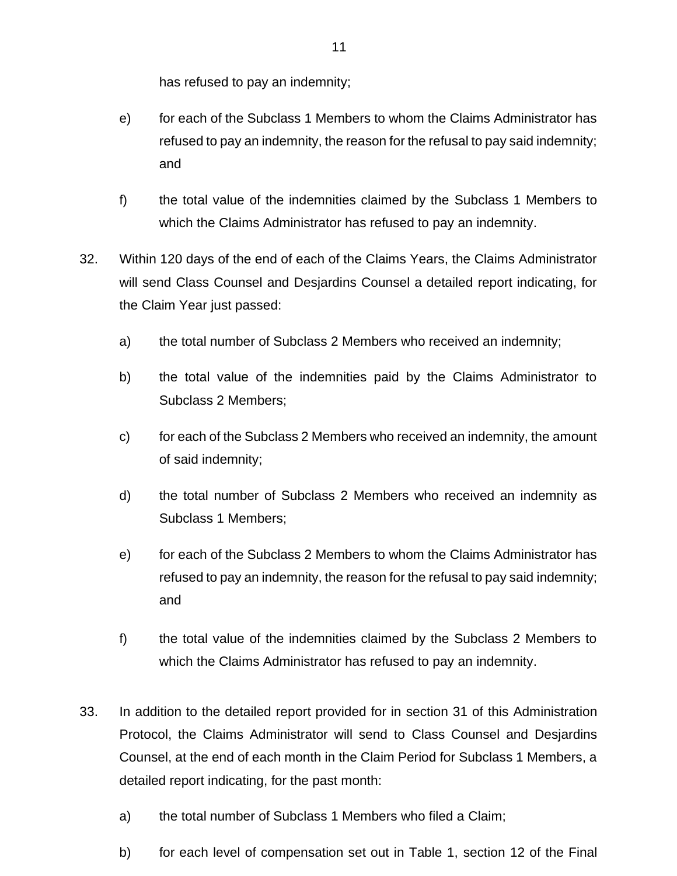has refused to pay an indemnity;

- e) for each of the Subclass 1 Members to whom the Claims Administrator has refused to pay an indemnity, the reason for the refusal to pay said indemnity; and
- f) the total value of the indemnities claimed by the Subclass 1 Members to which the Claims Administrator has refused to pay an indemnity.
- 32. Within 120 days of the end of each of the Claims Years, the Claims Administrator will send Class Counsel and Desjardins Counsel a detailed report indicating, for the Claim Year just passed:
	- a) the total number of Subclass 2 Members who received an indemnity;
	- b) the total value of the indemnities paid by the Claims Administrator to Subclass 2 Members;
	- c) for each of the Subclass 2 Members who received an indemnity, the amount of said indemnity;
	- d) the total number of Subclass 2 Members who received an indemnity as Subclass 1 Members;
	- e) for each of the Subclass 2 Members to whom the Claims Administrator has refused to pay an indemnity, the reason for the refusal to pay said indemnity; and
	- f) the total value of the indemnities claimed by the Subclass 2 Members to which the Claims Administrator has refused to pay an indemnity.
- 33. In addition to the detailed report provided for in section 31 of this Administration Protocol, the Claims Administrator will send to Class Counsel and Desjardins Counsel, at the end of each month in the Claim Period for Subclass 1 Members, a detailed report indicating, for the past month:
	- a) the total number of Subclass 1 Members who filed a Claim;
	- b) for each level of compensation set out in Table 1, section 12 of the Final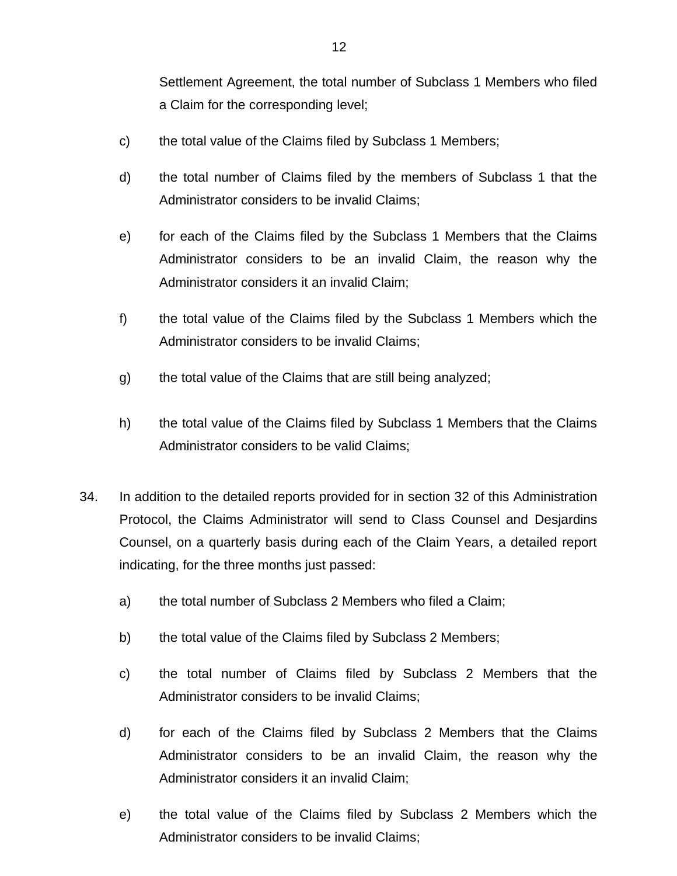Settlement Agreement, the total number of Subclass 1 Members who filed a Claim for the corresponding level;

- c) the total value of the Claims filed by Subclass 1 Members;
- d) the total number of Claims filed by the members of Subclass 1 that the Administrator considers to be invalid Claims;
- e) for each of the Claims filed by the Subclass 1 Members that the Claims Administrator considers to be an invalid Claim, the reason why the Administrator considers it an invalid Claim;
- f) the total value of the Claims filed by the Subclass 1 Members which the Administrator considers to be invalid Claims;
- g) the total value of the Claims that are still being analyzed;
- h) the total value of the Claims filed by Subclass 1 Members that the Claims Administrator considers to be valid Claims;
- 34. In addition to the detailed reports provided for in section 32 of this Administration Protocol, the Claims Administrator will send to Class Counsel and Desjardins Counsel, on a quarterly basis during each of the Claim Years, a detailed report indicating, for the three months just passed:
	- a) the total number of Subclass 2 Members who filed a Claim;
	- b) the total value of the Claims filed by Subclass 2 Members;
	- c) the total number of Claims filed by Subclass 2 Members that the Administrator considers to be invalid Claims;
	- d) for each of the Claims filed by Subclass 2 Members that the Claims Administrator considers to be an invalid Claim, the reason why the Administrator considers it an invalid Claim;
	- e) the total value of the Claims filed by Subclass 2 Members which the Administrator considers to be invalid Claims;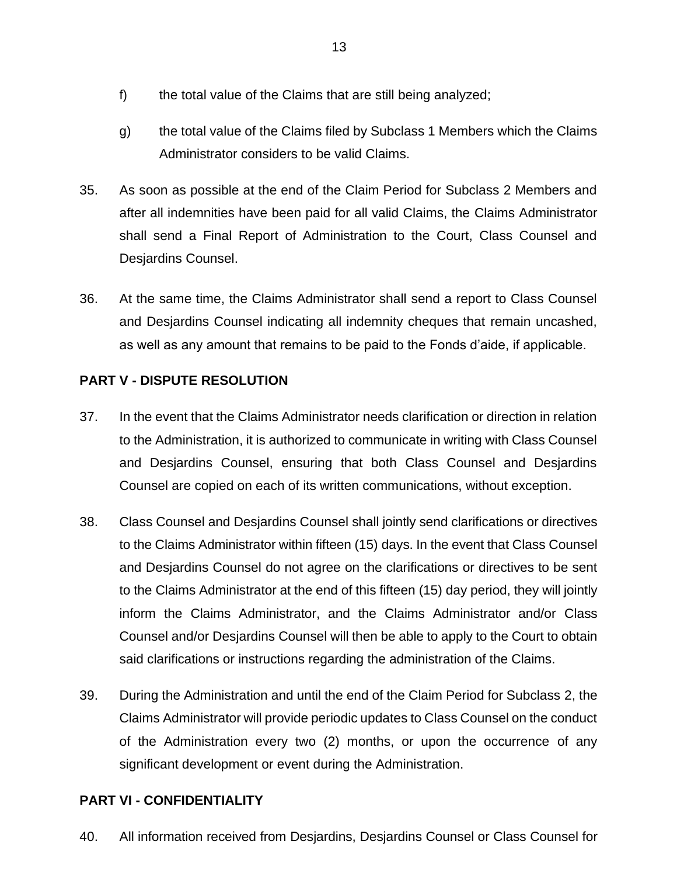- f) the total value of the Claims that are still being analyzed;
- g) the total value of the Claims filed by Subclass 1 Members which the Claims Administrator considers to be valid Claims.
- 35. As soon as possible at the end of the Claim Period for Subclass 2 Members and after all indemnities have been paid for all valid Claims, the Claims Administrator shall send a Final Report of Administration to the Court, Class Counsel and Desjardins Counsel.
- 36. At the same time, the Claims Administrator shall send a report to Class Counsel and Desjardins Counsel indicating all indemnity cheques that remain uncashed, as well as any amount that remains to be paid to the Fonds d'aide, if applicable.

## <span id="page-13-0"></span>**PART V - DISPUTE RESOLUTION**

- 37. In the event that the Claims Administrator needs clarification or direction in relation to the Administration, it is authorized to communicate in writing with Class Counsel and Desjardins Counsel, ensuring that both Class Counsel and Desjardins Counsel are copied on each of its written communications, without exception.
- 38. Class Counsel and Desjardins Counsel shall jointly send clarifications or directives to the Claims Administrator within fifteen (15) days. In the event that Class Counsel and Desjardins Counsel do not agree on the clarifications or directives to be sent to the Claims Administrator at the end of this fifteen (15) day period, they will jointly inform the Claims Administrator, and the Claims Administrator and/or Class Counsel and/or Desjardins Counsel will then be able to apply to the Court to obtain said clarifications or instructions regarding the administration of the Claims.
- 39. During the Administration and until the end of the Claim Period for Subclass 2, the Claims Administrator will provide periodic updates to Class Counsel on the conduct of the Administration every two (2) months, or upon the occurrence of any significant development or event during the Administration.

## <span id="page-13-1"></span>**PART VI - CONFIDENTIALITY**